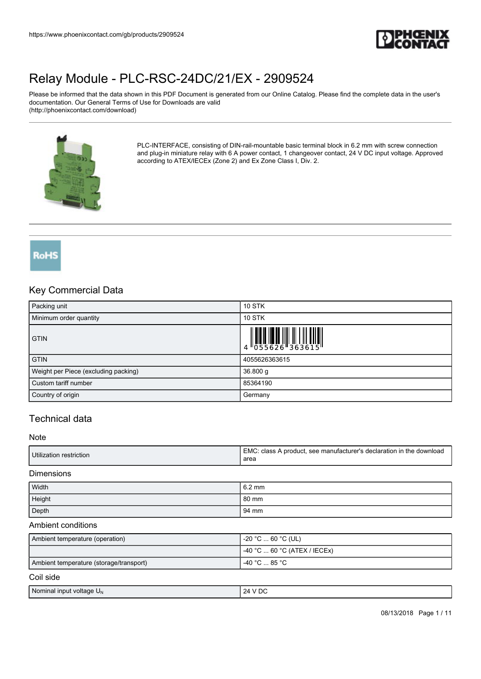

Please be informed that the data shown in this PDF Document is generated from our Online Catalog. Please find the complete data in the user's documentation. Our General Terms of Use for Downloads are valid (http://phoenixcontact.com/download)



PLC-INTERFACE, consisting of DIN-rail-mountable basic terminal block in 6.2 mm with screw connection and plug-in miniature relay with 6 A power contact, 1 changeover contact, 24 V DC input voltage. Approved according to ATEX/IECEx (Zone 2) and Ex Zone Class I, Div. 2.

**RoHS** 

### Key Commercial Data

| Packing unit                         | <b>10 STK</b>                                                             |
|--------------------------------------|---------------------------------------------------------------------------|
| Minimum order quantity               | <b>10 STK</b>                                                             |
| <b>GTIN</b>                          | $\begin{array}{c} 1 & 0 & 0 & 0 \\ 0 & 0 & 5 & 5 & 6 & 2 & 6 \end{array}$ |
| <b>GTIN</b>                          | 4055626363615                                                             |
| Weight per Piece (excluding packing) | $36.800$ g                                                                |
| Custom tariff number                 | 85364190                                                                  |
| Country of origin                    | Germany                                                                   |

# Technical data

#### Note

#### Dimensions

| Width  | $6.2 \text{ mm}$ |
|--------|------------------|
| Height | 80 mm            |
| Depth  | 94 mm            |

#### Ambient conditions

| Ambient temperature (operation)         | -20 °C … 60 °C (UL)            |
|-----------------------------------------|--------------------------------|
|                                         | $-40$ °C  60 °C (ATEX / IECEx) |
| Ambient temperature (storage/transport) | l -40 °C … 85 °C .             |
| Coil side                               |                                |

| Nominal input<br>* voltage U <sub>∾</sub><br>24<br>$\mathbf{v}$<br>$\sim$<br>$\mathbf{u}$<br>$\sim$ $\sim$ |  |
|------------------------------------------------------------------------------------------------------------|--|
|------------------------------------------------------------------------------------------------------------|--|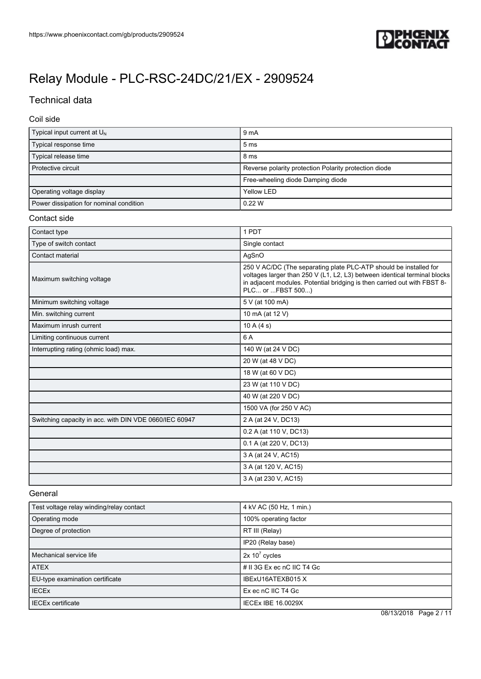

# Technical data

Coil side

| Typical input current at $U_{N}$        | 9 <sub>mA</sub>                                       |
|-----------------------------------------|-------------------------------------------------------|
| Typical response time                   | 5 <sub>ms</sub>                                       |
| Typical release time                    | 8 <sub>ms</sub>                                       |
| Protective circuit                      | Reverse polarity protection Polarity protection diode |
|                                         | Free-wheeling diode Damping diode                     |
| Operating voltage display               | Yellow LED                                            |
| Power dissipation for nominal condition | 0.22 W                                                |

#### Contact side

| Contact type                                           | 1 PDT                                                                                                                                                                                                                                           |
|--------------------------------------------------------|-------------------------------------------------------------------------------------------------------------------------------------------------------------------------------------------------------------------------------------------------|
| Type of switch contact                                 | Single contact                                                                                                                                                                                                                                  |
| Contact material                                       | AgSnO                                                                                                                                                                                                                                           |
| Maximum switching voltage                              | 250 V AC/DC (The separating plate PLC-ATP should be installed for<br>voltages larger than 250 V (L1, L2, L3) between identical terminal blocks<br>in adjacent modules. Potential bridging is then carried out with FBST 8-<br>PLC or  FBST 500) |
| Minimum switching voltage                              | 5 V (at 100 mA)                                                                                                                                                                                                                                 |
| Min. switching current                                 | 10 mA (at 12 V)                                                                                                                                                                                                                                 |
| Maximum inrush current                                 | 10A(4s)                                                                                                                                                                                                                                         |
| Limiting continuous current                            | 6 A                                                                                                                                                                                                                                             |
| Interrupting rating (ohmic load) max.                  | 140 W (at 24 V DC)                                                                                                                                                                                                                              |
|                                                        | 20 W (at 48 V DC)                                                                                                                                                                                                                               |
|                                                        | 18 W (at 60 V DC)                                                                                                                                                                                                                               |
|                                                        | 23 W (at 110 V DC)                                                                                                                                                                                                                              |
|                                                        | 40 W (at 220 V DC)                                                                                                                                                                                                                              |
|                                                        | 1500 VA (for 250 V AC)                                                                                                                                                                                                                          |
| Switching capacity in acc. with DIN VDE 0660/IEC 60947 | 2 A (at 24 V, DC13)                                                                                                                                                                                                                             |
|                                                        | 0.2 A (at 110 V, DC13)                                                                                                                                                                                                                          |
|                                                        | 0.1 A (at 220 V, DC13)                                                                                                                                                                                                                          |
|                                                        | 3 A (at 24 V, AC15)                                                                                                                                                                                                                             |
|                                                        | 3 A (at 120 V, AC15)                                                                                                                                                                                                                            |
|                                                        | 3 A (at 230 V, AC15)                                                                                                                                                                                                                            |

#### General

| Test voltage relay winding/relay contact | 4 kV AC (50 Hz, 1 min.)    |
|------------------------------------------|----------------------------|
| Operating mode                           | 100% operating factor      |
| Degree of protection                     | RT III (Relay)             |
|                                          | IP20 (Relay base)          |
| Mechanical service life                  | $2x 10^7$ cycles           |
| <b>ATEX</b>                              | # II 3G Ex ec nC IIC T4 Gc |
| EU-type examination certificate          | IBExU16ATEXB015 X          |
| <b>IECEX</b>                             | Ex ec nC IIC T4 Gc         |
| <b>IECEx certificate</b>                 | <b>IECEX IBE 16.0029X</b>  |

08/13/2018 Page 2 / 11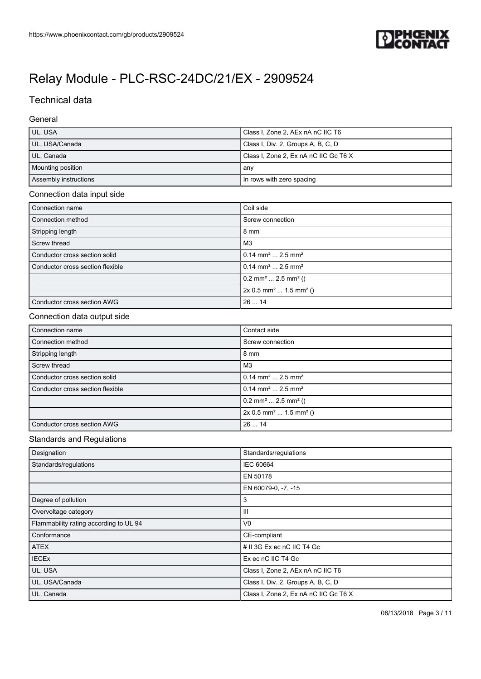

# Technical data

### General

| UL, USA               | Class I, Zone 2, AEx nA nC IIC T6     |
|-----------------------|---------------------------------------|
| UL, USA/Canada        | Class I, Div. 2, Groups A, B, C, D    |
| UL, Canada            | Class I, Zone 2, Ex nA nC IIC Gc T6 X |
| Mounting position     | any                                   |
| Assembly instructions | In rows with zero spacing             |

### Connection data input side

| Connection name                  | Coil side                                       |
|----------------------------------|-------------------------------------------------|
| Connection method                | Screw connection                                |
| Stripping length                 | $8 \text{ mm}$                                  |
| Screw thread                     | M <sub>3</sub>                                  |
| Conductor cross section solid    | $0.14$ mm <sup>2</sup> 2.5 mm <sup>2</sup>      |
| Conductor cross section flexible | $0.14$ mm <sup>2</sup> 2.5 mm <sup>2</sup>      |
|                                  | $0.2$ mm <sup>2</sup> 2.5 mm <sup>2</sup> ()    |
|                                  | $2x 0.5$ mm <sup>2</sup> 1.5 mm <sup>2</sup> () |
| Conductor cross section AWG      | 2614                                            |

#### Connection data output side

| Connection name                  | Contact side                                    |
|----------------------------------|-------------------------------------------------|
| Connection method                | Screw connection                                |
| Stripping length                 | $8 \text{ mm}$                                  |
| Screw thread                     | M <sub>3</sub>                                  |
| Conductor cross section solid    | $0.14$ mm <sup>2</sup> 2.5 mm <sup>2</sup>      |
| Conductor cross section flexible | $0.14$ mm <sup>2</sup> 2.5 mm <sup>2</sup>      |
|                                  | $0.2$ mm <sup>2</sup> 2.5 mm <sup>2</sup> ()    |
|                                  | $2x 0.5$ mm <sup>2</sup> 1.5 mm <sup>2</sup> () |
| Conductor cross section AWG      | 2614                                            |

#### Standards and Regulations

| Designation                            | Standards/regulations                 |
|----------------------------------------|---------------------------------------|
| Standards/regulations                  | IEC 60664                             |
|                                        | EN 50178                              |
|                                        | EN 60079-0, -7, -15                   |
| Degree of pollution                    | 3                                     |
| Overvoltage category                   | Ш                                     |
| Flammability rating according to UL 94 | V <sub>0</sub>                        |
| Conformance                            | CE-compliant                          |
| <b>ATEX</b>                            | # II 3G Ex ec nC IIC T4 Gc            |
| <b>IECEx</b>                           | Ex ec nC IIC T4 Gc                    |
| UL, USA                                | Class I, Zone 2, AEx nA nC IIC T6     |
| UL, USA/Canada                         | Class I, Div. 2, Groups A, B, C, D    |
| UL, Canada                             | Class I, Zone 2, Ex nA nC IIC Gc T6 X |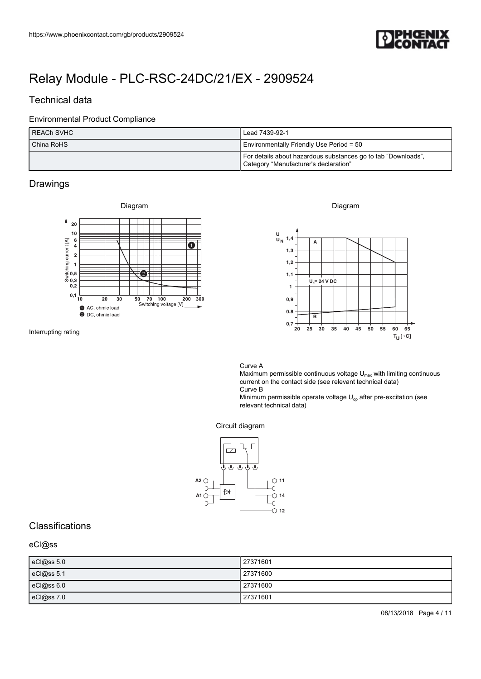

# Technical data

#### Environmental Product Compliance

| I REACh SVHC | Lead 7439-92-1                                                                                         |
|--------------|--------------------------------------------------------------------------------------------------------|
| China RoHS   | Environmentally Friendly Use Period = 50                                                               |
|              | For details about hazardous substances go to tab "Downloads",<br>Category "Manufacturer's declaration" |

### Drawings



Interrupting rating

Diagram



Curve A

Maximum permissible continuous voltage  $U_{\text{max}}$  with limiting continuous current on the contact side (see relevant technical data) Curve B

Minimum permissible operate voltage  $U_{op}$  after pre-excitation (see relevant technical data)

#### Circuit diagram



## Classifications

#### eCl@ss

| eCl@ss 5.0      | 27371601 |
|-----------------|----------|
| eCl@ss 5.1      | 27371600 |
| $eC$ l $@ss6.0$ | 27371600 |
| eCl@ss7.0       | 27371601 |

08/13/2018 Page 4 / 11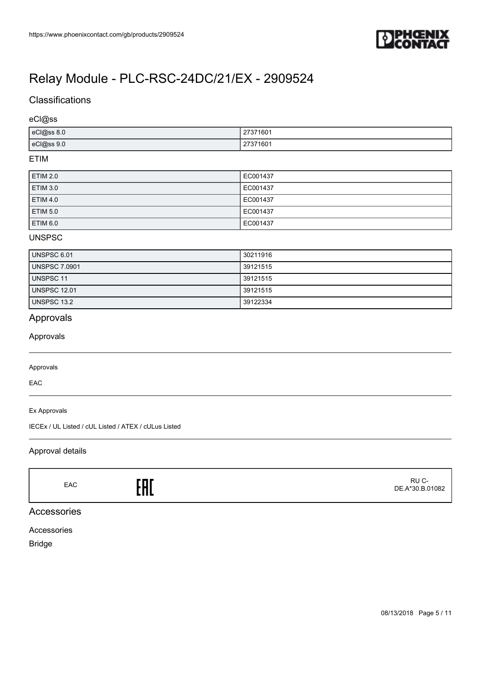

# **Classifications**

#### eCl@ss

| eCl@ss 8.0 | 27371601<br>2131<br>$ -$ |
|------------|--------------------------|
| eCl@ss 9.0 | 27371601                 |

#### ETIM

| <b>ETIM 2.0</b> | EC001437 |
|-----------------|----------|
| <b>ETIM 3.0</b> | EC001437 |
| <b>ETIM 4.0</b> | EC001437 |
| <b>ETIM 5.0</b> | EC001437 |
| ETIM 6.0        | EC001437 |

#### UNSPSC

| UNSPSC 6.01          | 30211916 |
|----------------------|----------|
| <b>UNSPSC 7.0901</b> | 39121515 |
| <b>UNSPSC 11</b>     | 39121515 |
| UNSPSC 12.01         | 39121515 |
| UNSPSC 13.2          | 39122334 |

# Approvals

Approvals

#### Approvals

EAC

Ex Approvals

IECEx / UL Listed / cUL Listed / ATEX / cULus Listed

### Approval details

EAC<sub>EAC</sub>ERE

 RU C-DE.A\*30.B.01082

## Accessories

Accessories

Bridge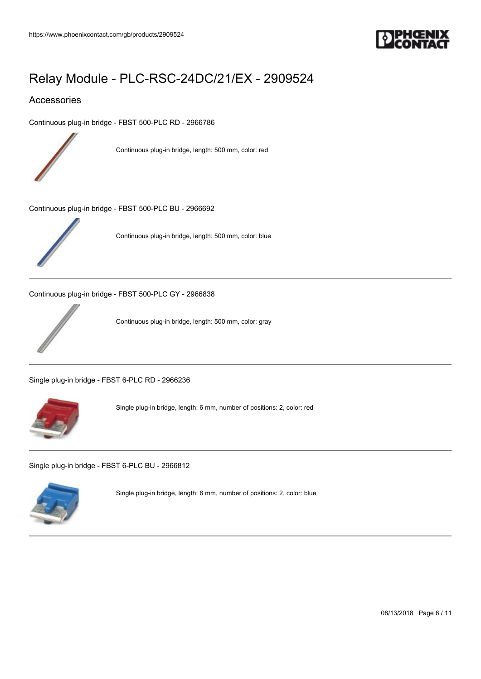

### Accessories

[Continuous plug-in bridge - FBST 500-PLC RD - 2966786](https://www.phoenixcontact.com/gb/products/2966786)



Continuous plug-in bridge, length: 500 mm, color: red

[Continuous plug-in bridge - FBST 500-PLC BU - 2966692](https://www.phoenixcontact.com/gb/products/2966692)



Continuous plug-in bridge, length: 500 mm, color: blue

[Continuous plug-in bridge - FBST 500-PLC GY - 2966838](https://www.phoenixcontact.com/gb/products/2966838)



Continuous plug-in bridge, length: 500 mm, color: gray

[Single plug-in bridge - FBST 6-PLC RD - 2966236](https://www.phoenixcontact.com/gb/products/2966236)



Single plug-in bridge, length: 6 mm, number of positions: 2, color: red

[Single plug-in bridge - FBST 6-PLC BU - 2966812](https://www.phoenixcontact.com/gb/products/2966812)



Single plug-in bridge, length: 6 mm, number of positions: 2, color: blue

08/13/2018 Page 6 / 11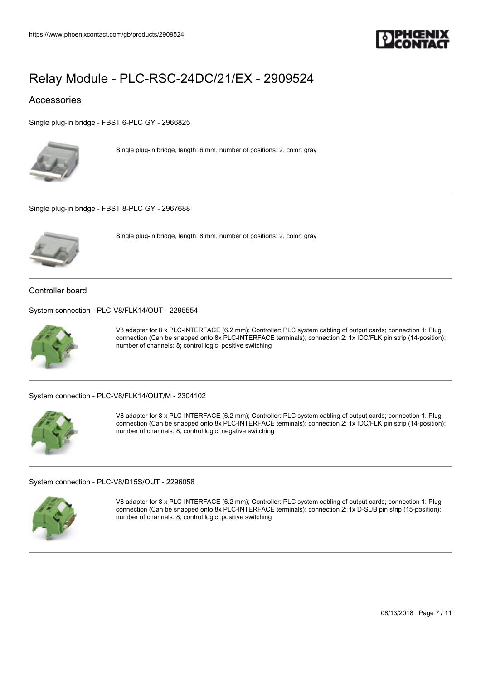

### Accessories

[Single plug-in bridge - FBST 6-PLC GY - 2966825](https://www.phoenixcontact.com/gb/products/2966825)



Single plug-in bridge, length: 6 mm, number of positions: 2, color: gray

[Single plug-in bridge - FBST 8-PLC GY - 2967688](https://www.phoenixcontact.com/gb/products/2967688)



Single plug-in bridge, length: 8 mm, number of positions: 2, color: gray

Controller board

[System connection - PLC-V8/FLK14/OUT - 2295554](https://www.phoenixcontact.com/gb/products/2295554)



V8 adapter for 8 x PLC-INTERFACE (6.2 mm); Controller: PLC system cabling of output cards; connection 1: Plug connection (Can be snapped onto 8x PLC-INTERFACE terminals); connection 2: 1x IDC/FLK pin strip (14-position); number of channels: 8; control logic: positive switching

#### [System connection - PLC-V8/FLK14/OUT/M - 2304102](https://www.phoenixcontact.com/gb/products/2304102)



V8 adapter for 8 x PLC-INTERFACE (6.2 mm); Controller: PLC system cabling of output cards; connection 1: Plug connection (Can be snapped onto 8x PLC-INTERFACE terminals); connection 2: 1x IDC/FLK pin strip (14-position); number of channels: 8; control logic: negative switching

[System connection - PLC-V8/D15S/OUT - 2296058](https://www.phoenixcontact.com/gb/products/2296058)



V8 adapter for 8 x PLC-INTERFACE (6.2 mm); Controller: PLC system cabling of output cards; connection 1: Plug connection (Can be snapped onto 8x PLC-INTERFACE terminals); connection 2: 1x D-SUB pin strip (15-position); number of channels: 8; control logic: positive switching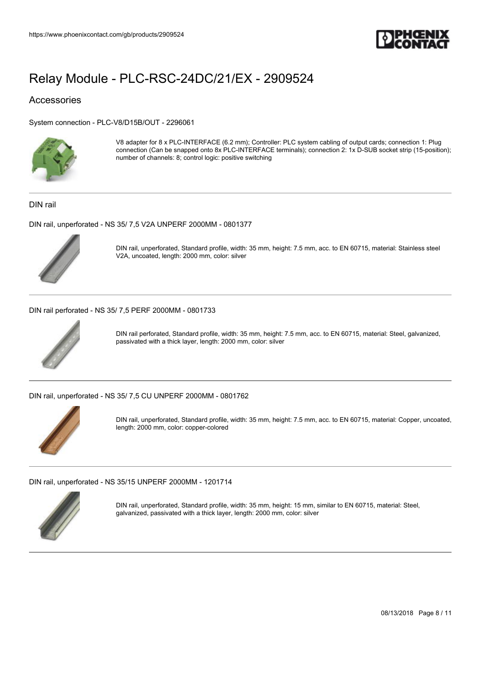

### Accessories

[System connection - PLC-V8/D15B/OUT - 2296061](https://www.phoenixcontact.com/gb/products/2296061)



V8 adapter for 8 x PLC-INTERFACE (6.2 mm); Controller: PLC system cabling of output cards; connection 1: Plug connection (Can be snapped onto 8x PLC-INTERFACE terminals); connection 2: 1x D-SUB socket strip (15-position); number of channels: 8; control logic: positive switching

DIN rail

[DIN rail, unperforated - NS 35/ 7,5 V2A UNPERF 2000MM - 0801377](https://www.phoenixcontact.com/gb/products/0801377)



DIN rail, unperforated, Standard profile, width: 35 mm, height: 7.5 mm, acc. to EN 60715, material: Stainless steel V2A, uncoated, length: 2000 mm, color: silver

[DIN rail perforated - NS 35/ 7,5 PERF 2000MM - 0801733](https://www.phoenixcontact.com/gb/products/0801733)



DIN rail perforated, Standard profile, width: 35 mm, height: 7.5 mm, acc. to EN 60715, material: Steel, galvanized, passivated with a thick layer, length: 2000 mm, color: silver

[DIN rail, unperforated - NS 35/ 7,5 CU UNPERF 2000MM - 0801762](https://www.phoenixcontact.com/gb/products/0801762)



DIN rail, unperforated, Standard profile, width: 35 mm, height: 7.5 mm, acc. to EN 60715, material: Copper, uncoated, length: 2000 mm, color: copper-colored

[DIN rail, unperforated - NS 35/15 UNPERF 2000MM - 1201714](https://www.phoenixcontact.com/gb/products/1201714)



DIN rail, unperforated, Standard profile, width: 35 mm, height: 15 mm, similar to EN 60715, material: Steel, galvanized, passivated with a thick layer, length: 2000 mm, color: silver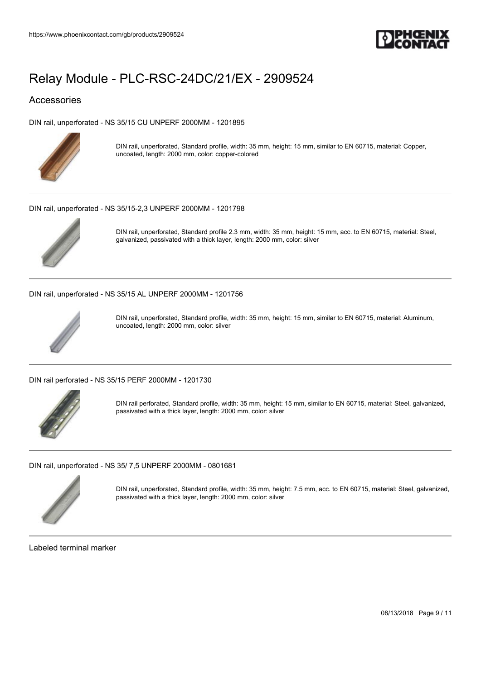

### Accessories

[DIN rail, unperforated - NS 35/15 CU UNPERF 2000MM - 1201895](https://www.phoenixcontact.com/gb/products/1201895)



DIN rail, unperforated, Standard profile, width: 35 mm, height: 15 mm, similar to EN 60715, material: Copper, uncoated, length: 2000 mm, color: copper-colored

#### [DIN rail, unperforated - NS 35/15-2,3 UNPERF 2000MM - 1201798](https://www.phoenixcontact.com/gb/products/1201798)



DIN rail, unperforated, Standard profile 2.3 mm, width: 35 mm, height: 15 mm, acc. to EN 60715, material: Steel, galvanized, passivated with a thick layer, length: 2000 mm, color: silver

[DIN rail, unperforated - NS 35/15 AL UNPERF 2000MM - 1201756](https://www.phoenixcontact.com/gb/products/1201756)



DIN rail, unperforated, Standard profile, width: 35 mm, height: 15 mm, similar to EN 60715, material: Aluminum, uncoated, length: 2000 mm, color: silver

[DIN rail perforated - NS 35/15 PERF 2000MM - 1201730](https://www.phoenixcontact.com/gb/products/1201730)



DIN rail perforated, Standard profile, width: 35 mm, height: 15 mm, similar to EN 60715, material: Steel, galvanized, passivated with a thick layer, length: 2000 mm, color: silver

[DIN rail, unperforated - NS 35/ 7,5 UNPERF 2000MM - 0801681](https://www.phoenixcontact.com/gb/products/0801681)



DIN rail, unperforated, Standard profile, width: 35 mm, height: 7.5 mm, acc. to EN 60715, material: Steel, galvanized, passivated with a thick layer, length: 2000 mm, color: silver

Labeled terminal marker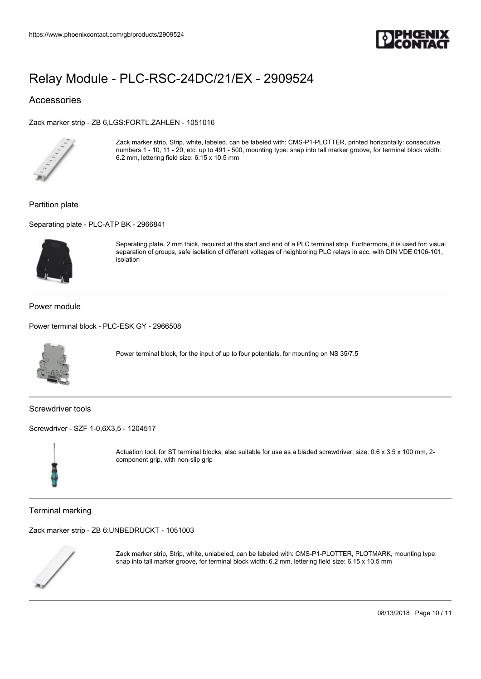

### Accessories

[Zack marker strip - ZB 6,LGS:FORTL.ZAHLEN - 1051016](https://www.phoenixcontact.com/gb/products/1051016)



Zack marker strip, Strip, white, labeled, can be labeled with: CMS-P1-PLOTTER, printed horizontally: consecutive numbers 1 - 10, 11 - 20, etc. up to 491 - 500, mounting type: snap into tall marker groove, for terminal block width: 6.2 mm, lettering field size: 6.15 x 10.5 mm

#### Partition plate

[Separating plate - PLC-ATP BK - 2966841](https://www.phoenixcontact.com/gb/products/2966841)



Separating plate, 2 mm thick, required at the start and end of a PLC terminal strip. Furthermore, it is used for: visual separation of groups, safe isolation of different voltages of neighboring PLC relays in acc. with DIN VDE 0106-101, isolation

Power module

[Power terminal block - PLC-ESK GY - 2966508](https://www.phoenixcontact.com/gb/products/2966508)



Power terminal block, for the input of up to four potentials, for mounting on NS 35/7.5

Screwdriver tools

[Screwdriver - SZF 1-0,6X3,5 - 1204517](https://www.phoenixcontact.com/gb/products/1204517)



Actuation tool, for ST terminal blocks, also suitable for use as a bladed screwdriver, size: 0.6 x 3.5 x 100 mm, 2 component grip, with non-slip grip

Terminal marking

[Zack marker strip - ZB 6:UNBEDRUCKT - 1051003](https://www.phoenixcontact.com/gb/products/1051003)



Zack marker strip, Strip, white, unlabeled, can be labeled with: CMS-P1-PLOTTER, PLOTMARK, mounting type: snap into tall marker groove, for terminal block width: 6.2 mm, lettering field size: 6.15 x 10.5 mm